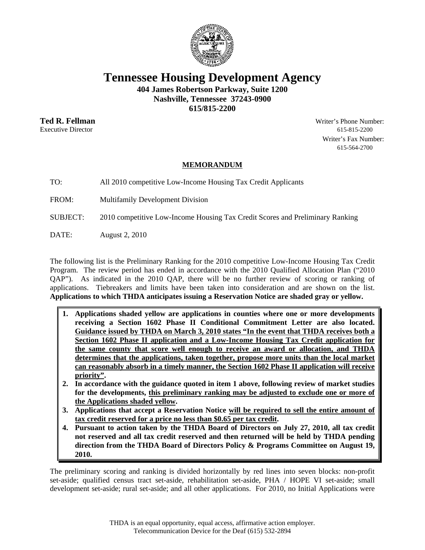

**Tennessee Housing Development Agency** 

**404 James Robertson Parkway, Suite 1200 Nashville, Tennessee 37243-0900** 

**615/815-2200** 

**Ted R. Fellman** Writer's Phone Number: Executive Director 615-815-2200 Writer's Fax Number: 615-564-2700

## **MEMORANDUM**

TO: All 2010 competitive Low-Income Housing Tax Credit Applicants

FROM: Multifamily Development Division

SUBJECT: 2010 competitive Low-Income Housing Tax Credit Scores and Preliminary Ranking

DATE: August 2, 2010

The following list is the Preliminary Ranking for the 2010 competitive Low-Income Housing Tax Credit Program. The review period has ended in accordance with the 2010 Qualified Allocation Plan ("2010 QAP"). As indicated in the 2010 QAP, there will be no further review of scoring or ranking of applications. Tiebreakers and limits have been taken into consideration and are shown on the list. **Applications to which THDA anticipates issuing a Reservation Notice are shaded gray or yellow.** 

- **1. Applications shaded yellow are applications in counties where one or more developments receiving a Section 1602 Phase II Conditional Commitment Letter are also located. Guidance issued by THDA on March 3, 2010 states "In the event that THDA receives both a Section 1602 Phase II application and a Low-Income Housing Tax Credit application for the same county that score well enough to receive an award or allocation, and THDA determines that the applications, taken together, propose more units than the local market can reasonably absorb in a timely manner, the Section 1602 Phase II application will receive priority".**
- **2. In accordance with the guidance quoted in item 1 above, following review of market studies for the developments, this preliminary ranking may be adjusted to exclude one or more of the Applications shaded yellow.**
- **3. Applications that accept a Reservation Notice will be required to sell the entire amount of tax credit reserved for a price no less than \$0.65 per tax credit.**
- **4. Pursuant to action taken by the THDA Board of Directors on July 27, 2010, all tax credit not reserved and all tax credit reserved and then returned will be held by THDA pending direction from the THDA Board of Directors Policy & Programs Committee on August 19, 2010.**

The preliminary scoring and ranking is divided horizontally by red lines into seven blocks: non-profit set-aside; qualified census tract set-aside, rehabilitation set-aside, PHA / HOPE VI set-aside; small development set-aside; rural set-aside; and all other applications. For 2010, no Initial Applications were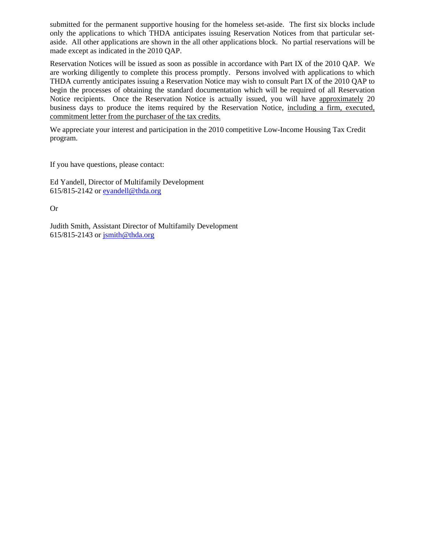submitted for the permanent supportive housing for the homeless set-aside. The first six blocks include only the applications to which THDA anticipates issuing Reservation Notices from that particular setaside. All other applications are shown in the all other applications block. No partial reservations will be made except as indicated in the 2010 QAP.

Reservation Notices will be issued as soon as possible in accordance with Part IX of the 2010 QAP. We are working diligently to complete this process promptly. Persons involved with applications to which THDA currently anticipates issuing a Reservation Notice may wish to consult Part IX of the 2010 QAP to begin the processes of obtaining the standard documentation which will be required of all Reservation Notice recipients. Once the Reservation Notice is actually issued, you will have approximately 20 business days to produce the items required by the Reservation Notice, including a firm, executed, commitment letter from the purchaser of the tax credits.

We appreciate your interest and participation in the 2010 competitive Low-Income Housing Tax Credit program.

If you have questions, please contact:

Ed Yandell, Director of Multifamily Development 615/815-2142 or eyandell@thda.org

Or

Judith Smith, Assistant Director of Multifamily Development 615/815-2143 or jsmith@thda.org